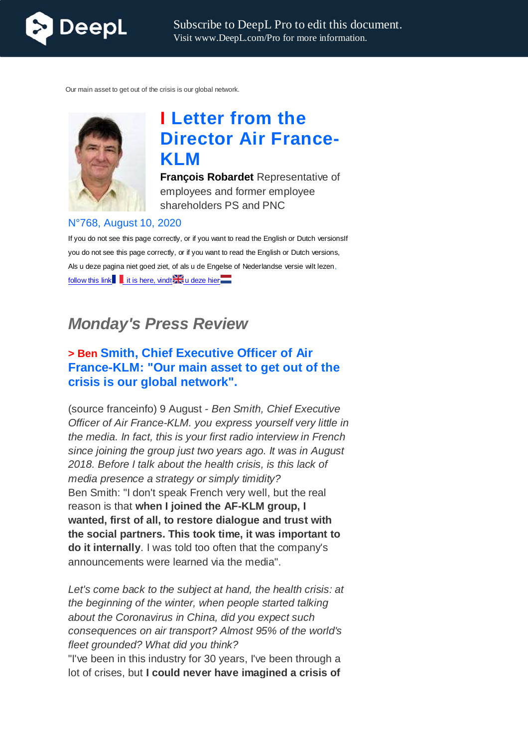

Our main asset to get out of the crisis is our global network.



# **I Letter from the Director Air France-KLM**

**François Robardet** Representative of employees and former employee shareholders PS and PNC

#### N°768, August 10, 2020

If you do not see this page correctly, or if you want to read the English or Dutch versionsIf you do not see this page correctly, or if you want to read the English or Dutch versions, Als u deze pagina niet goed ziet, of als u de Engelse of Nederlandse versie wilt lezen, follow this link , it is here, vindt and u deze hier

# *Monday's Press Review*

## **> Ben Smith, Chief Executive Officer of Air France-KLM: "Our main asset to get out of the crisis is our global network".**

(source franceinfo) 9 August - *Ben Smith, Chief Executive Officer of Air France-KLM. you express yourself very little in the media. In fact, this is your first radio interview in French since joining the group just two years ago. It was in August 2018. Before I talk about the health crisis, is this lack of media presence a strategy or simply timidity?* Ben Smith: "I don't speak French very well, but the real reason is that **when I joined the AF-KLM group, I wanted, first of all, to restore dialogue and trust with the social partners. This took time, it was important to do it internally**. I was told too often that the company's announcements were learned via the media".

*Let's come back to the subject at hand, the health crisis: at the beginning of the winter, when people started talking about the Coronavirus in China, did you expect such consequences on air transport? Almost 95% of the world's fleet grounded? What did you think?*

"I've been in this industry for 30 years, I've been through a lot of crises, but **I could never have imagined a crisis of**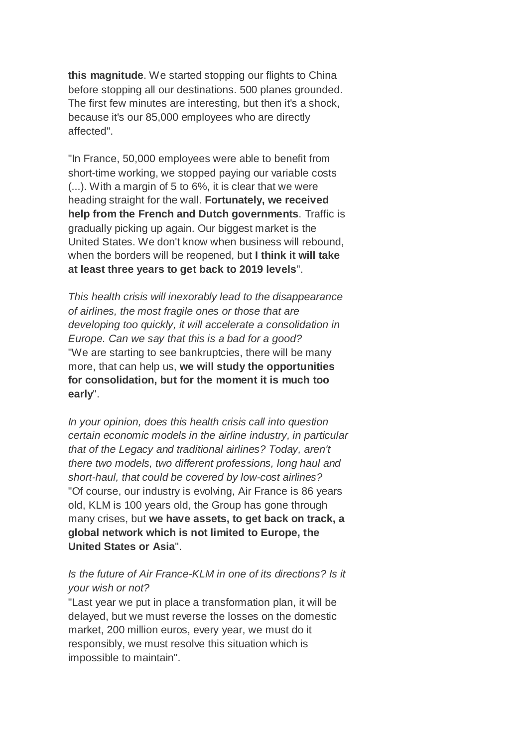**this magnitude**. We started stopping our flights to China before stopping all our destinations. 500 planes grounded. The first few minutes are interesting, but then it's a shock, because it's our 85,000 employees who are directly affected".

"In France, 50,000 employees were able to benefit from short-time working, we stopped paying our variable costs (...). With a margin of 5 to 6%, it is clear that we were heading straight for the wall. **Fortunately, we received help from the French and Dutch governments**. Traffic is gradually picking up again. Our biggest market is the United States. We don't know when business will rebound, when the borders will be reopened, but **I think it will take at least three years to get back to 2019 levels**".

*This health crisis will inexorably lead to the disappearance of airlines, the most fragile ones or those that are developing too quickly, it will accelerate a consolidation in Europe. Can we say that this is a bad for a good?* "We are starting to see bankruptcies, there will be many more, that can help us, **we will study the opportunities for consolidation, but for the moment it is much too early**".

*In your opinion, does this health crisis call into question certain economic models in the airline industry, in particular that of the Legacy and traditional airlines? Today, aren't there two models, two different professions, long haul and short-haul, that could be covered by low-cost airlines?* "Of course, our industry is evolving, Air France is 86 years old, KLM is 100 years old, the Group has gone through many crises, but **we have assets, to get back on track, a global network which is not limited to Europe, the United States or Asia**".

#### *Is the future of Air France-KLM in one of its directions? Is it your wish or not?*

"Last year we put in place a transformation plan, it will be delayed, but we must reverse the losses on the domestic market, 200 million euros, every year, we must do it responsibly, we must resolve this situation which is impossible to maintain".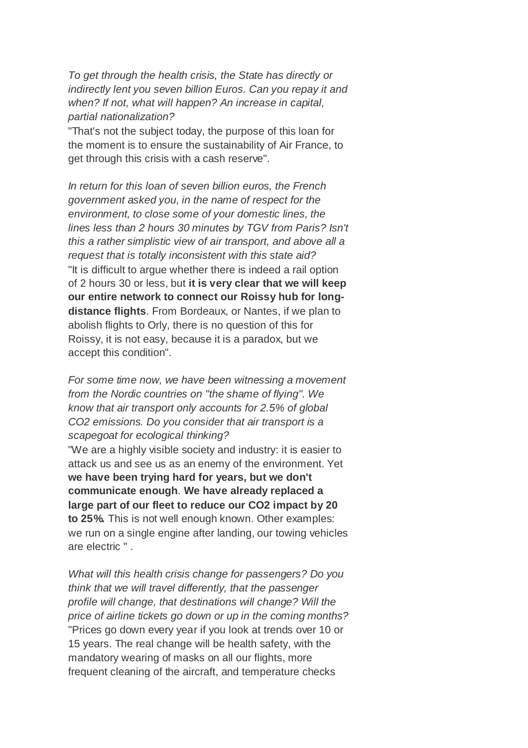*To get through the health crisis, the State has directly or indirectly lent you seven billion Euros. Can you repay it and when? If not, what will happen? An increase in capital, partial nationalization?*

"That's not the subject today, the purpose of this loan for the moment is to ensure the sustainability of Air France, to get through this crisis with a cash reserve".

*In return for this loan of seven billion euros, the French government asked you, in the name of respect for the environment, to close some of your domestic lines, the lines less than 2 hours 30 minutes by TGV from Paris? Isn't this a rather simplistic view of air transport, and above all a request that is totally inconsistent with this state aid?* "It is difficult to argue whether there is indeed a rail option of 2 hours 30 or less, but **it is very clear that we will keep our entire network to connect our Roissy hub for longdistance flights**. From Bordeaux, or Nantes, if we plan to abolish flights to Orly, there is no question of this for Roissy, it is not easy, because it is a paradox, but we accept this condition".

*For some time now, we have been witnessing a movement from the Nordic countries on "the shame of flying". We know that air transport only accounts for 2.5% of global CO2 emissions. Do you consider that air transport is a scapegoat for ecological thinking?*

"We are a highly visible society and industry: it is easier to attack us and see us as an enemy of the environment. Yet **we have been trying hard for years, but we don't communicate enough**. **We have already replaced a large part of our fleet to reduce our CO2 impact by 20 to 25%.** This is not well enough known. Other examples: we run on a single engine after landing, our towing vehicles are electric " .

*What will this health crisis change for passengers? Do you think that we will travel differently, that the passenger profile will change, that destinations will change? Will the price of airline tickets go down or up in the coming months?* "Prices go down every year if you look at trends over 10 or 15 years. The real change will be health safety, with the mandatory wearing of masks on all our flights, more frequent cleaning of the aircraft, and temperature checks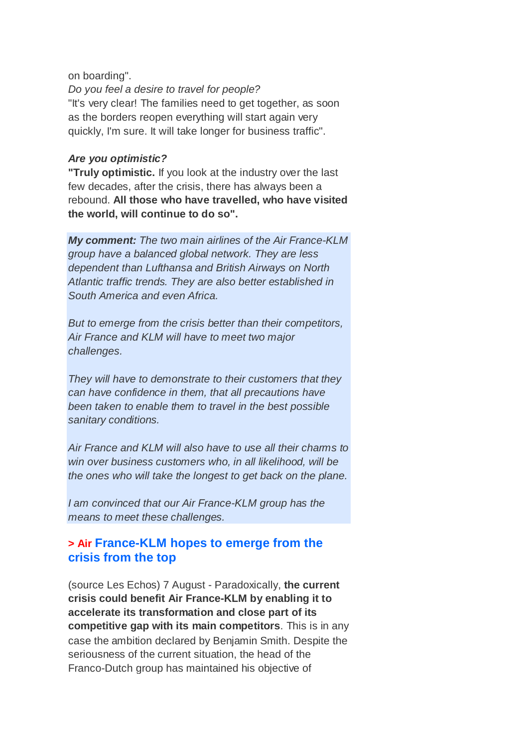#### on boarding".

*Do you feel a desire to travel for people?* "It's very clear! The families need to get together, as soon as the borders reopen everything will start again very quickly, I'm sure. It will take longer for business traffic".

#### *Are you optimistic?*

**"Truly optimistic.** If you look at the industry over the last few decades, after the crisis, there has always been a rebound. **All those who have travelled, who have visited the world, will continue to do so".**

*My comment: The two main airlines of the Air France-KLM group have a balanced global network. They are less dependent than Lufthansa and British Airways on North Atlantic traffic trends. They are also better established in South America and even Africa.*

*But to emerge from the crisis better than their competitors, Air France and KLM will have to meet two major challenges.*

*They will have to demonstrate to their customers that they can have confidence in them, that all precautions have been taken to enable them to travel in the best possible sanitary conditions.*

*Air France and KLM will also have to use all their charms to win over business customers who, in all likelihood, will be the ones who will take the longest to get back on the plane.*

*I am convinced that our Air France-KLM group has the means to meet these challenges.*

## **> Air France-KLM hopes to emerge from the crisis from the top**

(source Les Echos) 7 August - Paradoxically, **the current crisis could benefit Air France-KLM by enabling it to accelerate its transformation and close part of its competitive gap with its main competitors**. This is in any case the ambition declared by Benjamin Smith. Despite the seriousness of the current situation, the head of the Franco-Dutch group has maintained his objective of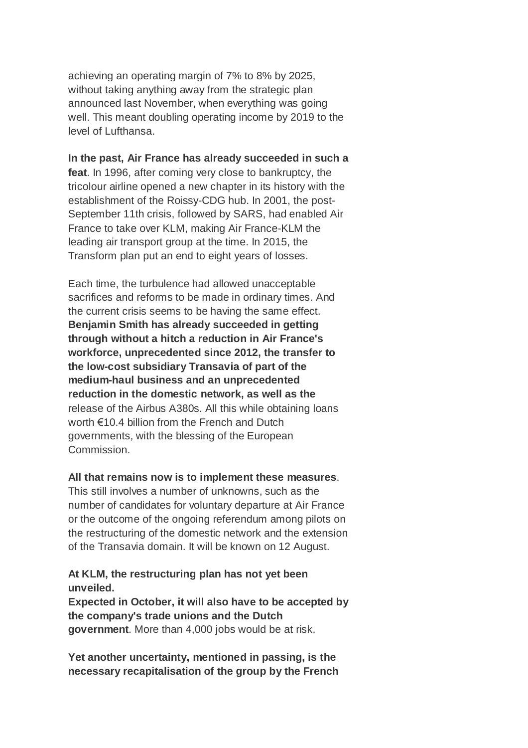achieving an operating margin of 7% to 8% by 2025, without taking anything away from the strategic plan announced last November, when everything was going well. This meant doubling operating income by 2019 to the level of Lufthansa.

**In the past, Air France has already succeeded in such a feat**. In 1996, after coming very close to bankruptcy, the tricolour airline opened a new chapter in its history with the establishment of the Roissy-CDG hub. In 2001, the post-September 11th crisis, followed by SARS, had enabled Air France to take over KLM, making Air France-KLM the leading air transport group at the time. In 2015, the Transform plan put an end to eight years of losses.

Each time, the turbulence had allowed unacceptable sacrifices and reforms to be made in ordinary times. And the current crisis seems to be having the same effect. **Benjamin Smith has already succeeded in getting through without a hitch a reduction in Air France's workforce, unprecedented since 2012, the transfer to the low-cost subsidiary Transavia of part of the medium-haul business and an unprecedented reduction in the domestic network, as well as the** release of the Airbus A380s. All this while obtaining loans worth €10.4 billion from the French and Dutch governments, with the blessing of the European Commission.

#### **All that remains now is to implement these measures**.

This still involves a number of unknowns, such as the number of candidates for voluntary departure at Air France or the outcome of the ongoing referendum among pilots on the restructuring of the domestic network and the extension of the Transavia domain. It will be known on 12 August.

#### **At KLM, the restructuring plan has not yet been unveiled.**

**Expected in October, it will also have to be accepted by the company's trade unions and the Dutch government**. More than 4,000 jobs would be at risk.

**Yet another uncertainty, mentioned in passing, is the necessary recapitalisation of the group by the French**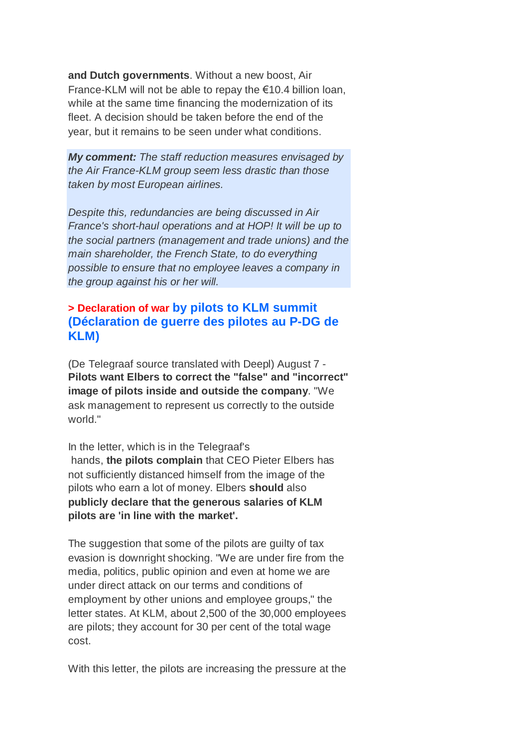**and Dutch governments**. Without a new boost, Air France-KLM will not be able to repay the €10.4 billion loan, while at the same time financing the modernization of its fleet. A decision should be taken before the end of the year, but it remains to be seen under what conditions.

*My comment: The staff reduction measures envisaged by the Air France-KLM group seem less drastic than those taken by most European airlines.*

*Despite this, redundancies are being discussed in Air France's short-haul operations and at HOP! It will be up to the social partners (management and trade unions) and the main shareholder, the French State, to do everything possible to ensure that no employee leaves a company in the group against his or her will.*

## **> Declaration of war by pilots to KLM summit (Déclaration de guerre des pilotes au P-DG de KLM)**

(De Telegraaf source translated with Deepl) August 7 - **Pilots want Elbers to correct the "false" and "incorrect" image of pilots inside and outside the company**. "We ask management to represent us correctly to the outside world."

In the letter, which is in the Telegraaf's hands, **the pilots complain** that CEO Pieter Elbers has not sufficiently distanced himself from the image of the pilots who earn a lot of money. Elbers **should** also **publicly declare that the generous salaries of KLM pilots are 'in line with the market'.**

The suggestion that some of the pilots are guilty of tax evasion is downright shocking. "We are under fire from the media, politics, public opinion and even at home we are under direct attack on our terms and conditions of employment by other unions and employee groups," the letter states. At KLM, about 2,500 of the 30,000 employees are pilots; they account for 30 per cent of the total wage cost.

With this letter, the pilots are increasing the pressure at the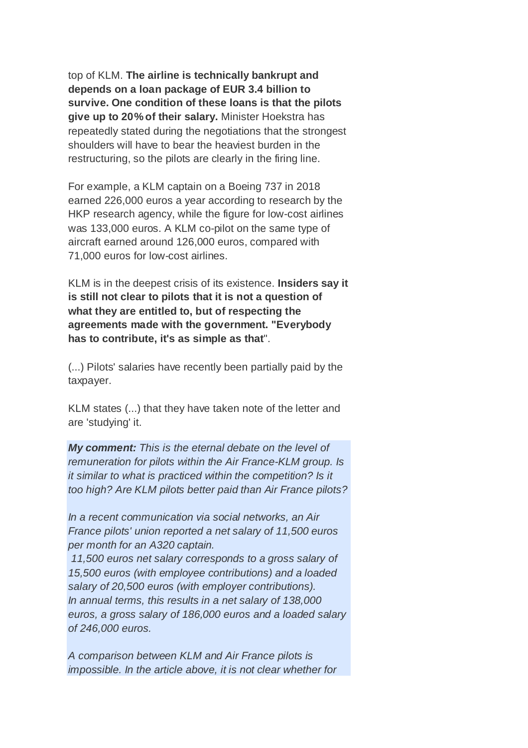top of KLM. **The airline is technically bankrupt and depends on a loan package of EUR 3.4 billion to survive. One condition of these loans is that the pilots give up to 20% of their salary.** Minister Hoekstra has repeatedly stated during the negotiations that the strongest shoulders will have to bear the heaviest burden in the restructuring, so the pilots are clearly in the firing line.

For example, a KLM captain on a Boeing 737 in 2018 earned 226,000 euros a year according to research by the HKP research agency, while the figure for low-cost airlines was 133,000 euros. A KLM co-pilot on the same type of aircraft earned around 126,000 euros, compared with 71,000 euros for low-cost airlines.

KLM is in the deepest crisis of its existence. **Insiders say it is still not clear to pilots that it is not a question of what they are entitled to, but of respecting the agreements made with the government. "Everybody has to contribute, it's as simple as that**".

(...) Pilots' salaries have recently been partially paid by the taxpayer.

KLM states (...) that they have taken note of the letter and are 'studying' it.

*My comment: This is the eternal debate on the level of remuneration for pilots within the Air France-KLM group. Is it similar to what is practiced within the competition? Is it too high? Are KLM pilots better paid than Air France pilots?*

*In a recent communication via social networks, an Air France pilots' union reported a net salary of 11,500 euros per month for an A320 captain.*

*11,500 euros net salary corresponds to a gross salary of 15,500 euros (with employee contributions) and a loaded salary of 20,500 euros (with employer contributions). In annual terms, this results in a net salary of 138,000 euros, a gross salary of 186,000 euros and a loaded salary of 246,000 euros.*

*A comparison between KLM and Air France pilots is impossible. In the article above, it is not clear whether for*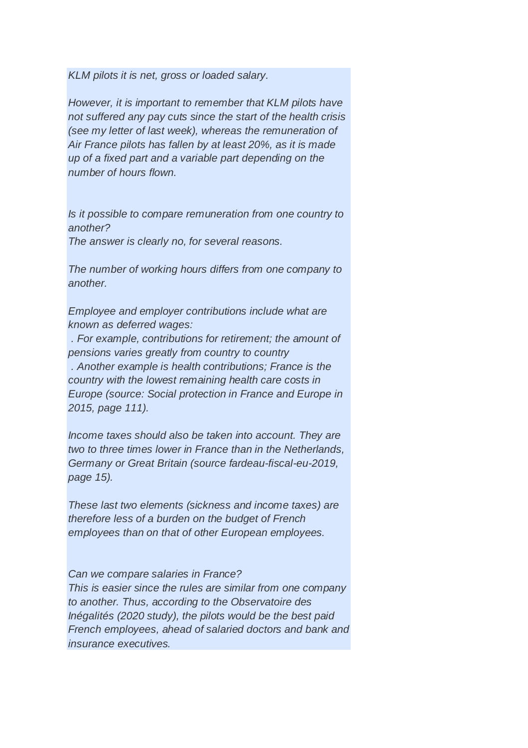*KLM pilots it is net, gross or loaded salary.*

*However, it is important to remember that KLM pilots have not suffered any pay cuts since the start of the health crisis (see my letter of last week), whereas the remuneration of Air France pilots has fallen by at least 20%, as it is made up of a fixed part and a variable part depending on the number of hours flown.*

*Is it possible to compare remuneration from one country to another?*

*The answer is clearly no, for several reasons.*

*The number of working hours differs from one company to another.*

*Employee and employer contributions include what are known as deferred wages:*

*. For example, contributions for retirement; the amount of pensions varies greatly from country to country . Another example is health contributions; France is the country with the lowest remaining health care costs in Europe (source: Social protection in France and Europe in 2015, page 111).*

*Income taxes should also be taken into account. They are two to three times lower in France than in the Netherlands, Germany or Great Britain (source fardeau-fiscal-eu-2019, page 15).*

*These last two elements (sickness and income taxes) are therefore less of a burden on the budget of French employees than on that of other European employees.*

*Can we compare salaries in France?*

*This is easier since the rules are similar from one company to another. Thus, according to the Observatoire des Inégalités (2020 study), the pilots would be the best paid French employees, ahead of salaried doctors and bank and insurance executives.*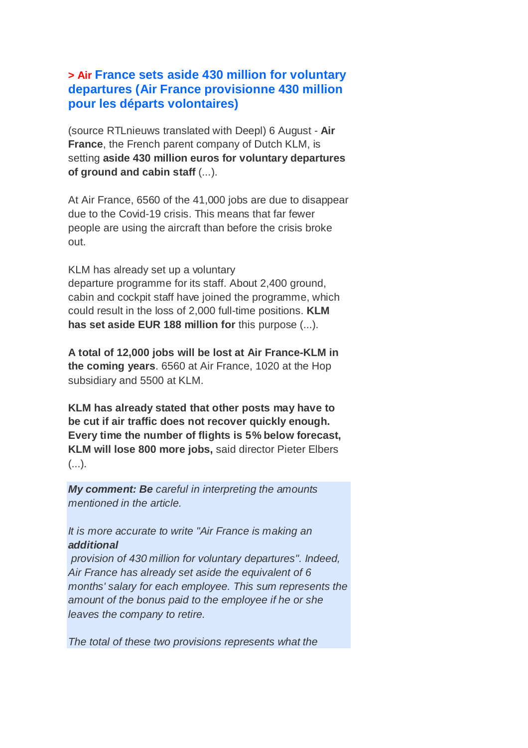## **> Air France sets aside 430 million for voluntary departures (Air France provisionne 430 million pour les départs volontaires)**

(source RTLnieuws translated with Deepl) 6 August - **Air France**, the French parent company of Dutch KLM, is setting **aside 430 million euros for voluntary departures of ground and cabin staff** (...).

At Air France, 6560 of the 41,000 jobs are due to disappear due to the Covid-19 crisis. This means that far fewer people are using the aircraft than before the crisis broke out.

KLM has already set up a voluntary departure programme for its staff. About 2,400 ground, cabin and cockpit staff have joined the programme, which could result in the loss of 2,000 full-time positions. **KLM has set aside EUR 188 million for** this purpose (...).

**A total of 12,000 jobs will be lost at Air France-KLM in the coming years**. 6560 at Air France, 1020 at the Hop subsidiary and 5500 at KLM.

**KLM has already stated that other posts may have to be cut if air traffic does not recover quickly enough. Every time the number of flights is 5% below forecast, KLM will lose 800 more jobs,** said director Pieter Elbers  $($ ...).

*My comment: Be careful in interpreting the amounts mentioned in the article.*

*It is more accurate to write "Air France is making an additional*

*provision of 430 million for voluntary departures". Indeed, Air France has already set aside the equivalent of 6 months' salary for each employee. This sum represents the amount of the bonus paid to the employee if he or she leaves the company to retire.*

*The total of these two provisions represents what the*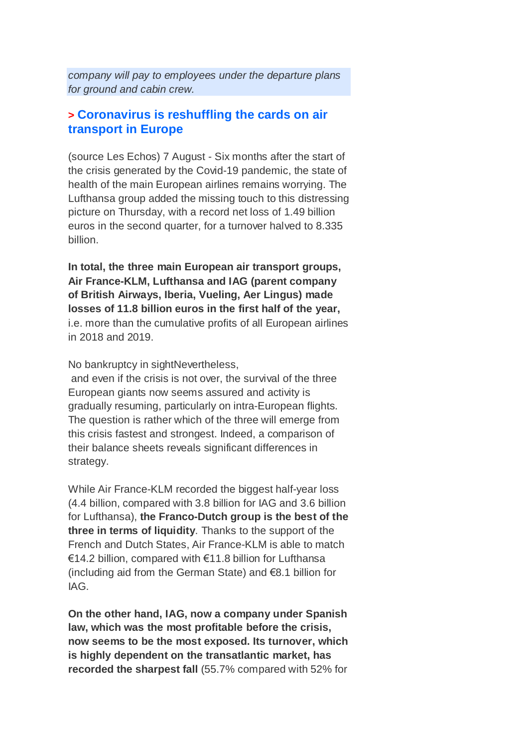*company will pay to employees under the departure plans for ground and cabin crew.*

### **> Coronavirus is reshuffling the cards on air transport in Europe**

(source Les Echos) 7 August - Six months after the start of the crisis generated by the Covid-19 pandemic, the state of health of the main European airlines remains worrying. The Lufthansa group added the missing touch to this distressing picture on Thursday, with a record net loss of 1.49 billion euros in the second quarter, for a turnover halved to 8.335 billion.

**In total, the three main European air transport groups, Air France-KLM, Lufthansa and IAG (parent company of British Airways, Iberia, Vueling, Aer Lingus) made losses of 11.8 billion euros in the first half of the year,** i.e. more than the cumulative profits of all European airlines in 2018 and 2019.

No bankruptcy in sightNevertheless,

and even if the crisis is not over, the survival of the three European giants now seems assured and activity is gradually resuming, particularly on intra-European flights. The question is rather which of the three will emerge from this crisis fastest and strongest. Indeed, a comparison of their balance sheets reveals significant differences in strategy.

While Air France-KLM recorded the biggest half-year loss (4.4 billion, compared with 3.8 billion for IAG and 3.6 billion for Lufthansa), **the Franco-Dutch group is the best of the three in terms of liquidity**. Thanks to the support of the French and Dutch States, Air France-KLM is able to match €14.2 billion, compared with €11.8 billion for Lufthansa (including aid from the German State) and €8.1 billion for IAG.

**On the other hand, IAG, now a company under Spanish law, which was the most profitable before the crisis, now seems to be the most exposed. Its turnover, which is highly dependent on the transatlantic market, has recorded the sharpest fall** (55.7% compared with 52% for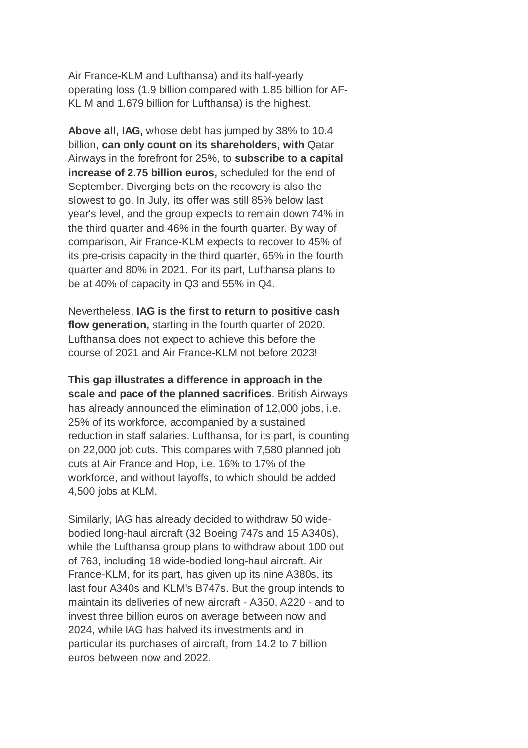Air France-KLM and Lufthansa) and its half-yearly operating loss (1.9 billion compared with 1.85 billion for AF-KL M and 1.679 billion for Lufthansa) is the highest.

**Above all, IAG,** whose debt has jumped by 38% to 10.4 billion, **can only count on its shareholders, with** Qatar Airways in the forefront for 25%, to **subscribe to a capital increase of 2.75 billion euros,** scheduled for the end of September. Diverging bets on the recovery is also the slowest to go. In July, its offer was still 85% below last year's level, and the group expects to remain down 74% in the third quarter and 46% in the fourth quarter. By way of comparison, Air France-KLM expects to recover to 45% of its pre-crisis capacity in the third quarter, 65% in the fourth quarter and 80% in 2021. For its part, Lufthansa plans to be at 40% of capacity in Q3 and 55% in Q4.

Nevertheless, **IAG is the first to return to positive cash flow generation,** starting in the fourth quarter of 2020. Lufthansa does not expect to achieve this before the course of 2021 and Air France-KLM not before 2023!

**This gap illustrates a difference in approach in the scale and pace of the planned sacrifices**. British Airways has already announced the elimination of 12,000 jobs, i.e. 25% of its workforce, accompanied by a sustained reduction in staff salaries. Lufthansa, for its part, is counting on 22,000 job cuts. This compares with 7,580 planned job cuts at Air France and Hop, i.e. 16% to 17% of the workforce, and without layoffs, to which should be added 4,500 jobs at KLM.

Similarly, IAG has already decided to withdraw 50 widebodied long-haul aircraft (32 Boeing 747s and 15 A340s), while the Lufthansa group plans to withdraw about 100 out of 763, including 18 wide-bodied long-haul aircraft. Air France-KLM, for its part, has given up its nine A380s, its last four A340s and KLM's B747s. But the group intends to maintain its deliveries of new aircraft - A350, A220 - and to invest three billion euros on average between now and 2024, while IAG has halved its investments and in particular its purchases of aircraft, from 14.2 to 7 billion euros between now and 2022.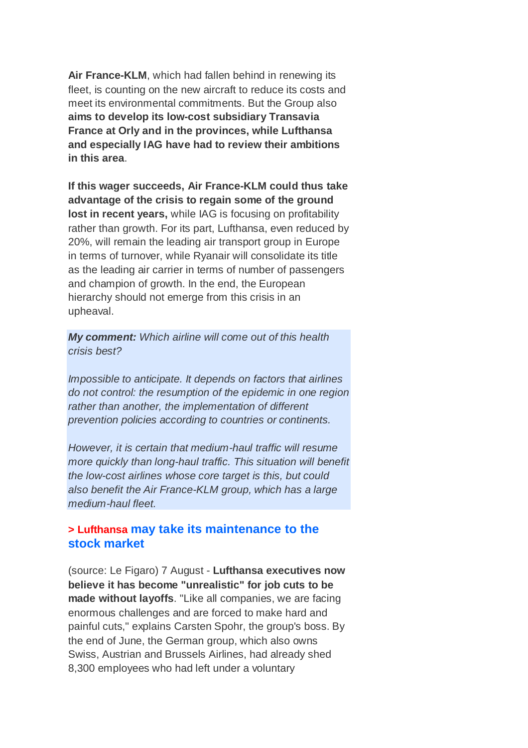**Air France-KLM**, which had fallen behind in renewing its fleet, is counting on the new aircraft to reduce its costs and meet its environmental commitments. But the Group also **aims to develop its low-cost subsidiary Transavia France at Orly and in the provinces, while Lufthansa and especially IAG have had to review their ambitions in this area**.

**If this wager succeeds, Air France-KLM could thus take advantage of the crisis to regain some of the ground lost in recent years,** while IAG is focusing on profitability rather than growth. For its part, Lufthansa, even reduced by 20%, will remain the leading air transport group in Europe in terms of turnover, while Ryanair will consolidate its title as the leading air carrier in terms of number of passengers and champion of growth. In the end, the European hierarchy should not emerge from this crisis in an upheaval.

*My comment: Which airline will come out of this health crisis best?*

*Impossible to anticipate. It depends on factors that airlines do not control: the resumption of the epidemic in one region rather than another, the implementation of different prevention policies according to countries or continents.*

*However, it is certain that medium-haul traffic will resume more quickly than long-haul traffic. This situation will benefit the low-cost airlines whose core target is this, but could also benefit the Air France-KLM group, which has a large medium-haul fleet.*

#### **> Lufthansa may take its maintenance to the stock market**

(source: Le Figaro) 7 August - **Lufthansa executives now believe it has become "unrealistic" for job cuts to be made without layoffs**. "Like all companies, we are facing enormous challenges and are forced to make hard and painful cuts," explains Carsten Spohr, the group's boss. By the end of June, the German group, which also owns Swiss, Austrian and Brussels Airlines, had already shed 8,300 employees who had left under a voluntary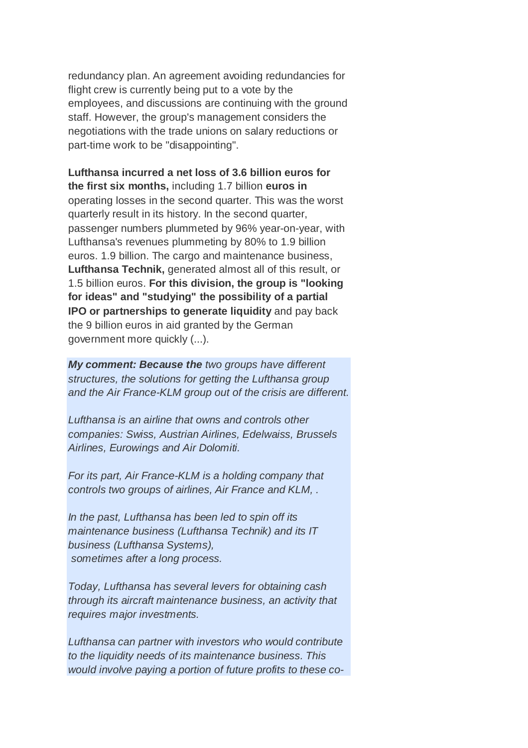redundancy plan. An agreement avoiding redundancies for flight crew is currently being put to a vote by the employees, and discussions are continuing with the ground staff. However, the group's management considers the negotiations with the trade unions on salary reductions or part-time work to be "disappointing".

**Lufthansa incurred a net loss of 3.6 billion euros for the first six months,** including 1.7 billion **euros in** operating losses in the second quarter. This was the worst quarterly result in its history. In the second quarter, passenger numbers plummeted by 96% year-on-year, with Lufthansa's revenues plummeting by 80% to 1.9 billion euros. 1.9 billion. The cargo and maintenance business, **Lufthansa Technik,** generated almost all of this result, or 1.5 billion euros. **For this division, the group is "looking for ideas" and "studying" the possibility of a partial IPO or partnerships to generate liquidity** and pay back the 9 billion euros in aid granted by the German government more quickly (...).

*My comment: Because the two groups have different structures, the solutions for getting the Lufthansa group and the Air France-KLM group out of the crisis are different.*

*Lufthansa is an airline that owns and controls other companies: Swiss, Austrian Airlines, Edelwaiss, Brussels Airlines, Eurowings and Air Dolomiti.*

*For its part, Air France-KLM is a holding company that controls two groups of airlines, Air France and KLM, .*

*In the past, Lufthansa has been led to spin off its maintenance business (Lufthansa Technik) and its IT business (Lufthansa Systems), sometimes after a long process.*

*Today, Lufthansa has several levers for obtaining cash through its aircraft maintenance business, an activity that requires major investments.*

*Lufthansa can partner with investors who would contribute to the liquidity needs of its maintenance business. This would involve paying a portion of future profits to these co-*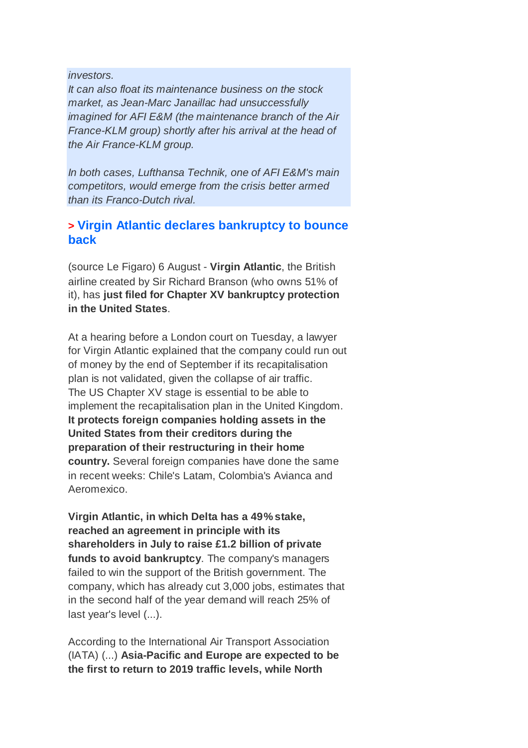*investors.*

*It can also float its maintenance business on the stock market, as Jean-Marc Janaillac had unsuccessfully imagined for AFI E&M (the maintenance branch of the Air France-KLM group) shortly after his arrival at the head of the Air France-KLM group.*

*In both cases, Lufthansa Technik, one of AFI E&M's main competitors, would emerge from the crisis better armed than its Franco-Dutch rival.*

## **> Virgin Atlantic declares bankruptcy to bounce back**

(source Le Figaro) 6 August - **Virgin Atlantic**, the British airline created by Sir Richard Branson (who owns 51% of it), has **just filed for Chapter XV bankruptcy protection in the United States**.

At a hearing before a London court on Tuesday, a lawyer for Virgin Atlantic explained that the company could run out of money by the end of September if its recapitalisation plan is not validated, given the collapse of air traffic. The US Chapter XV stage is essential to be able to implement the recapitalisation plan in the United Kingdom. **It protects foreign companies holding assets in the United States from their creditors during the preparation of their restructuring in their home country.** Several foreign companies have done the same in recent weeks: Chile's Latam, Colombia's Avianca and Aeromexico.

**Virgin Atlantic, in which Delta has a 49% stake, reached an agreement in principle with its shareholders in July to raise £1.2 billion of private funds to avoid bankruptcy**. The company's managers failed to win the support of the British government. The company, which has already cut 3,000 jobs, estimates that in the second half of the year demand will reach 25% of last year's level (...).

According to the International Air Transport Association (IATA) (...) **Asia-Pacific and Europe are expected to be the first to return to 2019 traffic levels, while North**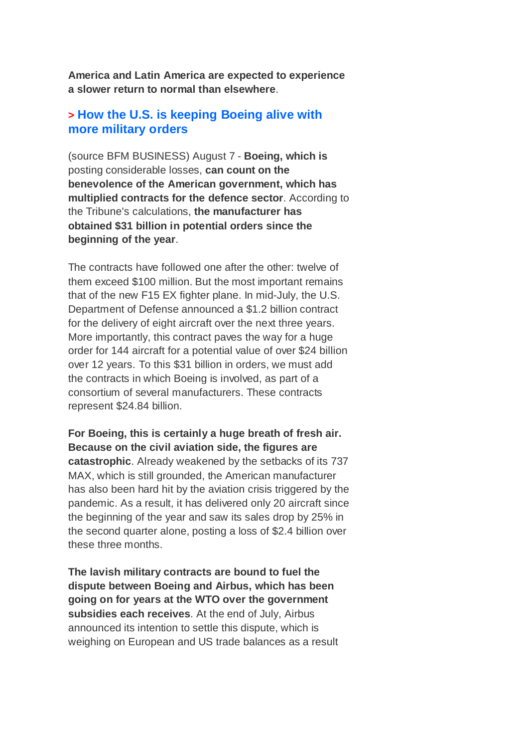**America and Latin America are expected to experience a slower return to normal than elsewhere**.

#### **> How the U.S. is keeping Boeing alive with more military orders**

(source BFM BUSINESS) August 7 - **Boeing, which is** posting considerable losses, **can count on the benevolence of the American government, which has multiplied contracts for the defence sector**. According to the Tribune's calculations, **the manufacturer has obtained \$31 billion in potential orders since the beginning of the year**.

The contracts have followed one after the other: twelve of them exceed \$100 million. But the most important remains that of the new F15 EX fighter plane. In mid-July, the U.S. Department of Defense announced a \$1.2 billion contract for the delivery of eight aircraft over the next three years. More importantly, this contract paves the way for a huge order for 144 aircraft for a potential value of over \$24 billion over 12 years. To this \$31 billion in orders, we must add the contracts in which Boeing is involved, as part of a consortium of several manufacturers. These contracts represent \$24.84 billion.

**For Boeing, this is certainly a huge breath of fresh air. Because on the civil aviation side, the figures are catastrophic**. Already weakened by the setbacks of its 737 MAX, which is still grounded, the American manufacturer has also been hard hit by the aviation crisis triggered by the pandemic. As a result, it has delivered only 20 aircraft since the beginning of the year and saw its sales drop by 25% in the second quarter alone, posting a loss of \$2.4 billion over these three months.

**The lavish military contracts are bound to fuel the dispute between Boeing and Airbus, which has been going on for years at the WTO over the government subsidies each receives**. At the end of July, Airbus announced its intention to settle this dispute, which is weighing on European and US trade balances as a result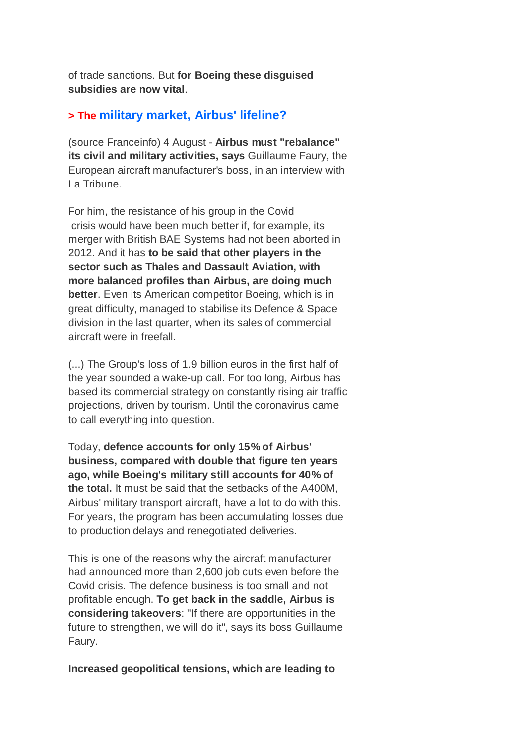of trade sanctions. But **for Boeing these disguised subsidies are now vital**.

#### **> The military market, Airbus' lifeline?**

(source Franceinfo) 4 August - **Airbus must "rebalance" its civil and military activities, says** Guillaume Faury, the European aircraft manufacturer's boss, in an interview with La Tribune.

For him, the resistance of his group in the Covid crisis would have been much better if, for example, its merger with British BAE Systems had not been aborted in 2012. And it has **to be said that other players in the sector such as Thales and Dassault Aviation, with more balanced profiles than Airbus, are doing much better**. Even its American competitor Boeing, which is in great difficulty, managed to stabilise its Defence & Space division in the last quarter, when its sales of commercial aircraft were in freefall.

(...) The Group's loss of 1.9 billion euros in the first half of the year sounded a wake-up call. For too long, Airbus has based its commercial strategy on constantly rising air traffic projections, driven by tourism. Until the coronavirus came to call everything into question.

Today, **defence accounts for only 15% of Airbus' business, compared with double that figure ten years ago, while Boeing's military still accounts for 40% of the total.** It must be said that the setbacks of the A400M, Airbus' military transport aircraft, have a lot to do with this. For years, the program has been accumulating losses due to production delays and renegotiated deliveries.

This is one of the reasons why the aircraft manufacturer had announced more than 2,600 job cuts even before the Covid crisis. The defence business is too small and not profitable enough. **To get back in the saddle, Airbus is considering takeovers**: "If there are opportunities in the future to strengthen, we will do it", says its boss Guillaume Faury.

#### **Increased geopolitical tensions, which are leading to**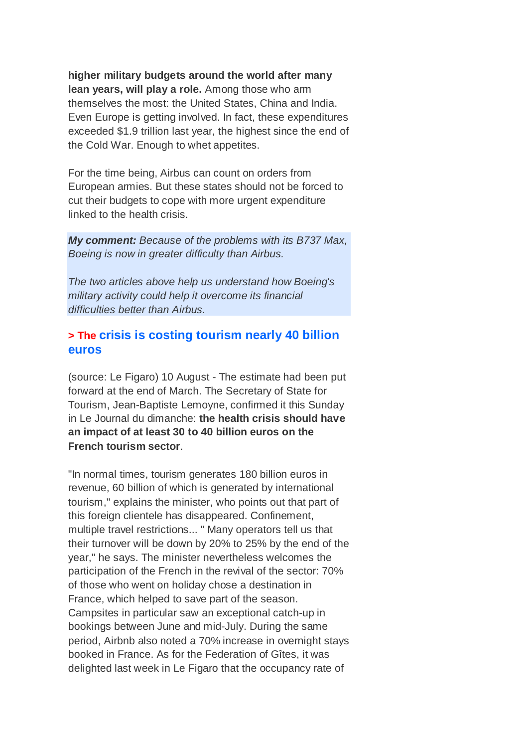**higher military budgets around the world after many lean years, will play a role.** Among those who arm themselves the most: the United States, China and India. Even Europe is getting involved. In fact, these expenditures exceeded \$1.9 trillion last year, the highest since the end of the Cold War. Enough to whet appetites.

For the time being, Airbus can count on orders from European armies. But these states should not be forced to cut their budgets to cope with more urgent expenditure linked to the health crisis.

*My comment: Because of the problems with its B737 Max, Boeing is now in greater difficulty than Airbus.*

*The two articles above help us understand how Boeing's military activity could help it overcome its financial difficulties better than Airbus.*

### **> The crisis is costing tourism nearly 40 billion euros**

(source: Le Figaro) 10 August - The estimate had been put forward at the end of March. The Secretary of State for Tourism, Jean-Baptiste Lemoyne, confirmed it this Sunday in Le Journal du dimanche: **the health crisis should have an impact of at least 30 to 40 billion euros on the French tourism sector**.

"In normal times, tourism generates 180 billion euros in revenue, 60 billion of which is generated by international tourism," explains the minister, who points out that part of this foreign clientele has disappeared. Confinement, multiple travel restrictions... " Many operators tell us that their turnover will be down by 20% to 25% by the end of the year," he says. The minister nevertheless welcomes the participation of the French in the revival of the sector: 70% of those who went on holiday chose a destination in France, which helped to save part of the season. Campsites in particular saw an exceptional catch-up in bookings between June and mid-July. During the same period, Airbnb also noted a 70% increase in overnight stays booked in France. As for the Federation of Gîtes, it was delighted last week in Le Figaro that the occupancy rate of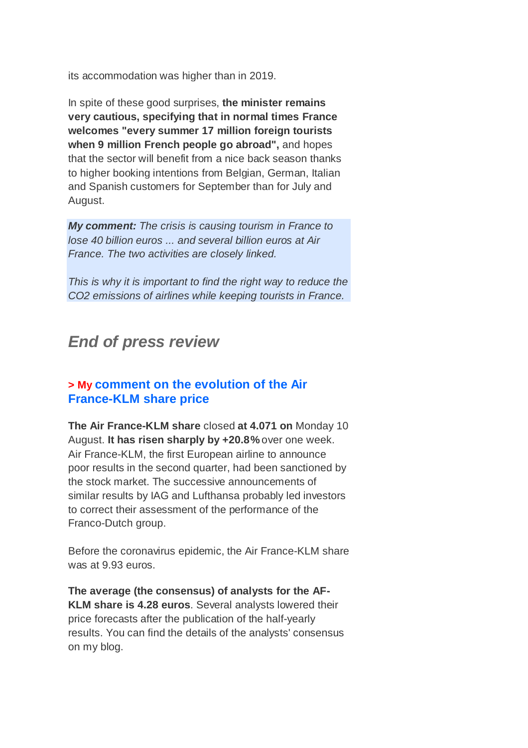its accommodation was higher than in 2019.

In spite of these good surprises, **the minister remains very cautious, specifying that in normal times France welcomes "every summer 17 million foreign tourists when 9 million French people go abroad",** and hopes that the sector will benefit from a nice back season thanks to higher booking intentions from Belgian, German, Italian and Spanish customers for September than for July and August.

*My comment: The crisis is causing tourism in France to lose 40 billion euros ... and several billion euros at Air France. The two activities are closely linked.*

*This is why it is important to find the right way to reduce the CO2 emissions of airlines while keeping tourists in France.*

# *End of press review*

#### **> My comment on the evolution of the Air France-KLM share price**

**The Air France-KLM share** closed **at 4.071 on** Monday 10 August. **It has risen sharply by +20.8%** over one week. Air France-KLM, the first European airline to announce poor results in the second quarter, had been sanctioned by the stock market. The successive announcements of similar results by IAG and Lufthansa probably led investors to correct their assessment of the performance of the Franco-Dutch group.

Before the coronavirus epidemic, the Air France-KLM share was at 9.93 euros.

**The average (the consensus) of analysts for the AF-KLM share is 4.28 euros**. Several analysts lowered their price forecasts after the publication of the half-yearly results. You can find the details of the analysts' consensus on my blog.